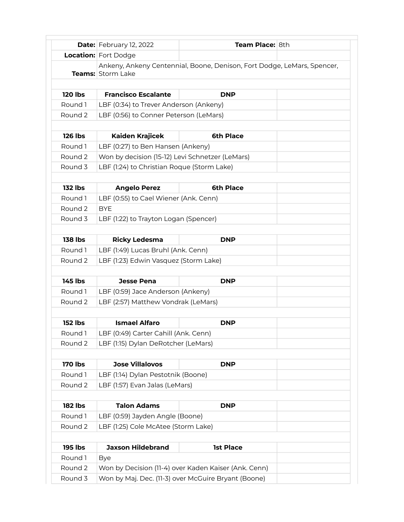|                    | <b>Date:</b> February 12, 2022                  | Team Place: 8th                                                         |  |
|--------------------|-------------------------------------------------|-------------------------------------------------------------------------|--|
|                    | <b>Location:</b> Fort Dodge                     |                                                                         |  |
|                    | <b>Teams:</b> Storm Lake                        | Ankeny, Ankeny Centennial, Boone, Denison, Fort Dodge, LeMars, Spencer, |  |
|                    |                                                 |                                                                         |  |
| <b>120 lbs</b>     | <b>Francisco Escalante</b>                      | DNP                                                                     |  |
| Round 1            | LBF (0:34) to Trever Anderson (Ankeny)          |                                                                         |  |
| Round 2            | LBF (0:56) to Conner Peterson (LeMars)          |                                                                         |  |
| <b>126 lbs</b>     | Kaiden Krajicek                                 | <b>6th Place</b>                                                        |  |
| Round 1            | LBF (0:27) to Ben Hansen (Ankeny)               |                                                                         |  |
| Round <sub>2</sub> | Won by decision (15-12) Levi Schnetzer (LeMars) |                                                                         |  |
| Round 3            | LBF (1:24) to Christian Roque (Storm Lake)      |                                                                         |  |
| <b>132 lbs</b>     | <b>Angelo Perez</b>                             | <b>6th Place</b>                                                        |  |
| Round 1            | LBF (0:55) to Cael Wiener (Ank. Cenn)           |                                                                         |  |
| Round 2            | <b>BYE</b>                                      |                                                                         |  |
| Round 3            | LBF (1:22) to Trayton Logan (Spencer)           |                                                                         |  |
|                    |                                                 |                                                                         |  |
| <b>138 lbs</b>     | <b>Ricky Ledesma</b>                            | <b>DNP</b>                                                              |  |
| Round 1            | LBF (1:49) Lucas Bruhl (Ank. Cenn)              |                                                                         |  |
| Round 2            | LBF (1:23) Edwin Vasquez (Storm Lake)           |                                                                         |  |
|                    |                                                 |                                                                         |  |
| <b>145 lbs</b>     | <b>Jesse Pena</b>                               | <b>DNP</b>                                                              |  |
| Round 1            | LBF (0:59) Jace Anderson (Ankeny)               |                                                                         |  |
| Round 2            | LBF (2:57) Matthew Vondrak (LeMars)             |                                                                         |  |
| <b>152 lbs</b>     | <b>Ismael Alfaro</b>                            | <b>DNP</b>                                                              |  |
| Round 1            | LBF (0:49) Carter Cahill (Ank. Cenn)            |                                                                         |  |
| Round 2            | LBF (1:15) Dylan DeRotcher (LeMars)             |                                                                         |  |
| <b>170 lbs</b>     | <b>Jose Villalovos</b>                          | <b>DNP</b>                                                              |  |
| Round 1            | LBF (1:14) Dylan Pestotnik (Boone)              |                                                                         |  |
| Round 2            | LBF (1:57) Evan Jalas (LeMars)                  |                                                                         |  |
|                    |                                                 |                                                                         |  |
| <b>182 lbs</b>     | <b>Talon Adams</b>                              | <b>DNP</b>                                                              |  |
| Round 1            | LBF (0:59) Jayden Angle (Boone)                 |                                                                         |  |
| Round 2            | LBF (1:25) Cole McAtee (Storm Lake)             |                                                                         |  |
| <b>195 lbs</b>     | <b>Jaxson Hildebrand</b>                        | <b>1st Place</b>                                                        |  |
| Round 1            | <b>Bye</b>                                      |                                                                         |  |
| Round 2            |                                                 | Won by Decision (11-4) over Kaden Kaiser (Ank. Cenn)                    |  |
| Round 3            |                                                 | Won by Maj. Dec. (11-3) over McGuire Bryant (Boone)                     |  |
|                    |                                                 |                                                                         |  |